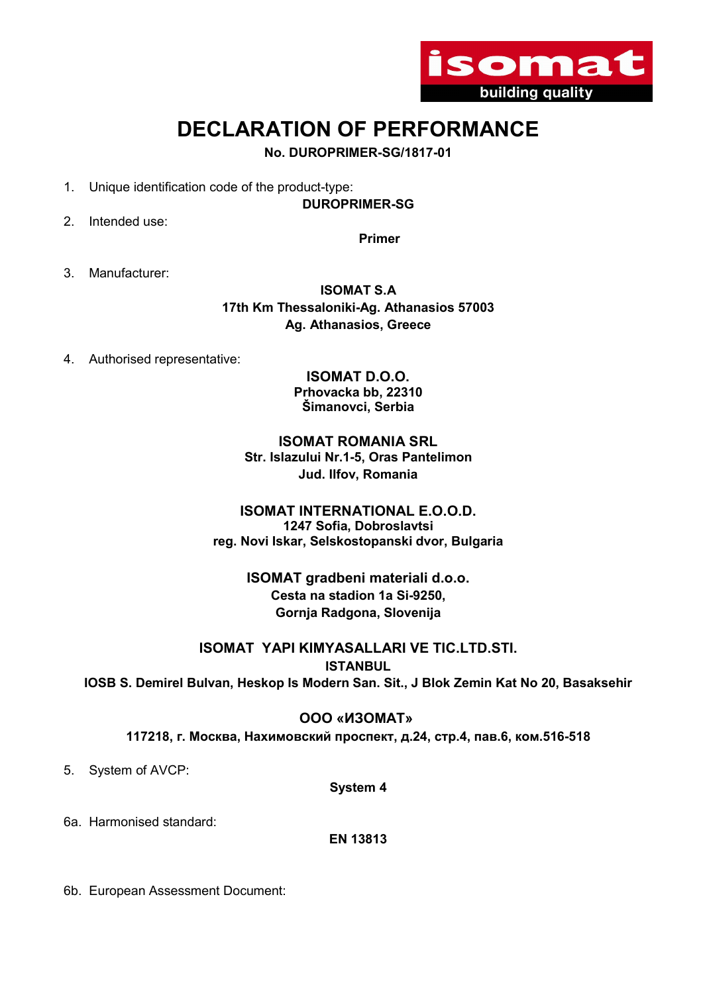

# DECLARATION OF PERFORMANCE

No. DUROPRIMER-SG/1817-01

1. Unique identification code of the product-type:

DUROPRIMER-SG

2. Intended use:

Primer

3. Manufacturer:

ISOMAT S.A 17th Km Thessaloniki-Ag. Athanasios 57003 Ag. Athanasios, Greece

4. Authorised representative:

ISOMAT D.O.O. Prhovacka bb, 22310 Šimanovci, Serbia

#### ISOMAT ROMANIA SRL Str. Islazului Nr.1-5, Oras Pantelimon Jud. Ilfov, Romania

### ISOMAT INTERNATIONAL E.O.O.D.

1247 Sofia, Dobroslavtsi reg. Novi Iskar, Selskostopanski dvor, Bulgaria

> ΙSOMAT gradbeni materiali d.o.o. Cesta na stadion 1a Si-9250, Gornja Radgona, Slovenija

## ISOMAT YAPI KIMYASALLARI VE TIC.LTD.STI.

**ISTANBUL** 

IOSB S. Demirel Bulvan, Heskop Is Modern San. Sit., J Blok Zemin Kat No 20, Basaksehir

### ООО «ИЗОМАТ»

117218, г. Москва, Нахимовский проспект, д.24, стр.4, пав.6, ком.516-518

5. System of AVCP:

System 4

6a. Harmonised standard:

EN 13813

6b. European Assessment Document: